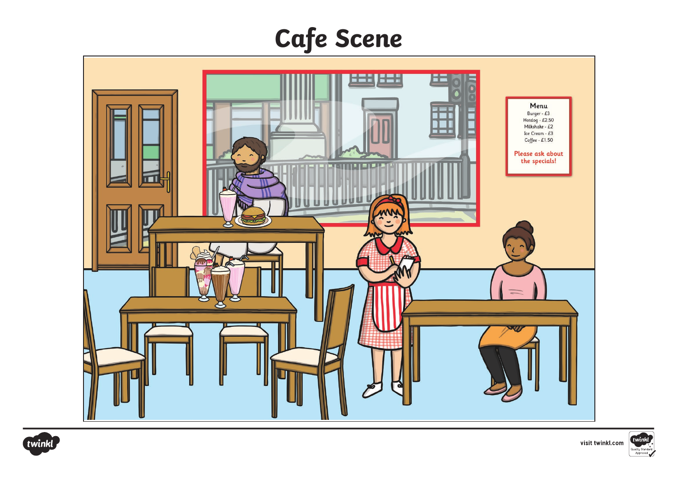## **Cafe Scene**







visit twinkl.com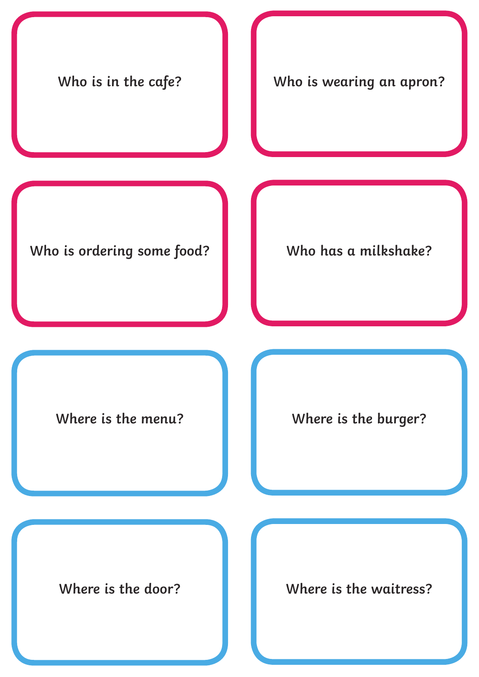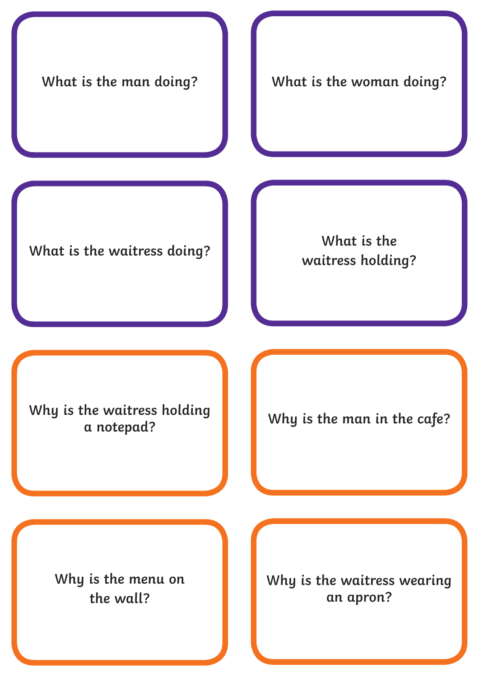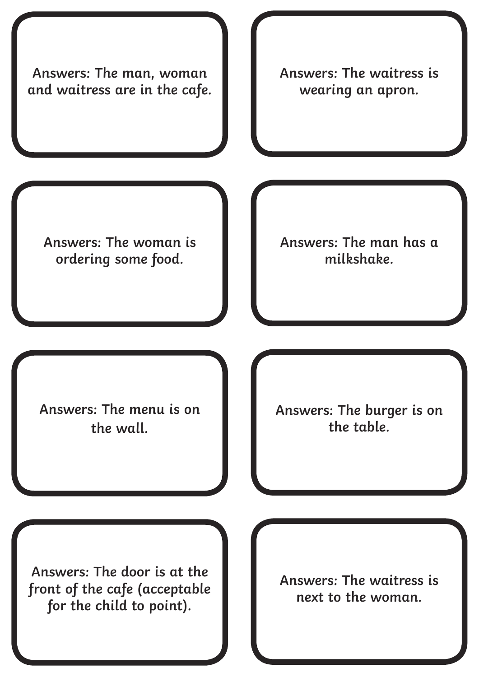